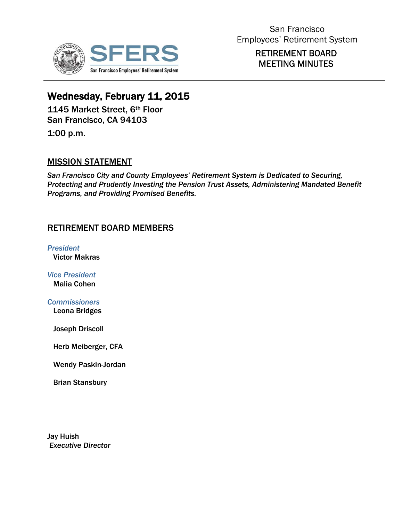

## RETIREMENT BOARD MEETING MINUTES

# Wednesday, February 11, 2015

1145 Market Street, 6th Floor San Francisco, CA 94103

1:00 p.m.

## MISSION STATEMENT

*San Francisco City and County Employees' Retirement System is Dedicated to Securing, Protecting and Prudently Investing the Pension Trust Assets, Administering Mandated Benefit Programs, and Providing Promised Benefits.*

## RETIREMENT BOARD MEMBERS

*President*  Victor Makras

*Vice President*  Malia Cohen

*Commissioners*  Leona Bridges

Joseph Driscoll

Herb Meiberger, CFA

Wendy Paskin-Jordan

Brian Stansbury

Jay Huish  *Executive Director*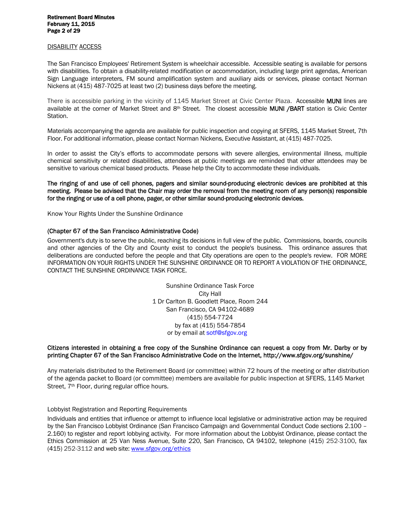## Retirement Board Minutes February 11, 2015 Page 2 of 29

#### DISABILITY ACCESS

The San Francisco Employees' Retirement System is wheelchair accessible. Accessible seating is available for persons with disabilities. To obtain a disability-related modification or accommodation, including large print agendas, American Sign Language interpreters, FM sound amplification system and auxiliary aids or services, please contact Norman Nickens at (415) 487-7025 at least two (2) business days before the meeting.

There is accessible parking in the vicinity of 1145 Market Street at Civic Center Plaza. Accessible MUNI lines are available at the corner of Market Street and 8<sup>th</sup> Street. The closest accessible MUNI /BART station is Civic Center Station.

Materials accompanying the agenda are available for public inspection and copying at SFERS, 1145 Market Street, 7th Floor. For additional information, please contact Norman Nickens, Executive Assistant, at (415) 487-7025.

In order to assist the City's efforts to accommodate persons with severe allergies, environmental illness, multiple chemical sensitivity or related disabilities, attendees at public meetings are reminded that other attendees may be sensitive to various chemical based products. Please help the City to accommodate these individuals.

The ringing of and use of cell phones, pagers and similar sound-producing electronic devices are prohibited at this meeting. Please be advised that the Chair may order the removal from the meeting room of any person(s) responsible for the ringing or use of a cell phone, pager, or other similar sound-producing electronic devices.

Know Your Rights Under the Sunshine Ordinance

#### (Chapter 67 of the San Francisco Administrative Code)

Government's duty is to serve the public, reaching its decisions in full view of the public. Commissions, boards, councils and other agencies of the City and County exist to conduct the people's business. This ordinance assures that deliberations are conducted before the people and that City operations are open to the people's review. FOR MORE INFORMATION ON YOUR RIGHTS UNDER THE SUNSHINE ORDINANCE OR TO REPORT A VIOLATION OF THE ORDINANCE, CONTACT THE SUNSHINE ORDINANCE TASK FORCE.

> Sunshine Ordinance Task Force City Hall 1 Dr Carlton B. Goodlett Place, Room 244 San Francisco, CA 94102-4689 (415) 554-7724 by fax at (415) 554-7854 or by email at sotf@sfgov.org

#### Citizens interested in obtaining a free copy of the Sunshine Ordinance can request a copy from Mr. Darby or by printing Chapter 67 of the San Francisco Administrative Code on the Internet, http://www.sfgov.org/sunshine/

Any materials distributed to the Retirement Board (or committee) within 72 hours of the meeting or after distribution of the agenda packet to Board (or committee) members are available for public inspection at SFERS, 1145 Market Street, 7<sup>th</sup> Floor, during regular office hours.

#### Lobbyist Registration and Reporting Requirements

Individuals and entities that influence or attempt to influence local legislative or administrative action may be required by the San Francisco Lobbyist Ordinance (San Francisco Campaign and Governmental Conduct Code sections 2.100 – 2.160) to register and report lobbying activity. For more information about the Lobbyist Ordinance, please contact the Ethics Commission at 25 Van Ness Avenue, Suite 220, San Francisco, CA 94102, telephone (415) 252-3100, fax (415) 252-3112 and web site: www.sfgov.org/ethics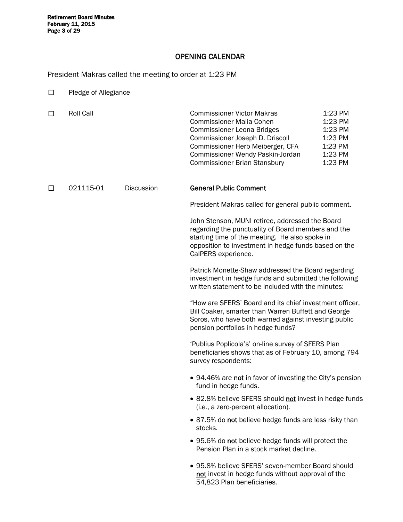Retirement Board Minutes<br>February 11, 2015 Page 3 of 29

#### OPENING CALENDAR

President Makras called the meeting to order at 1:23 PM

| $\Box$ | Pledge of Allegiance |                   |                                                                                                                                                                                                                                                             |                                                                           |
|--------|----------------------|-------------------|-------------------------------------------------------------------------------------------------------------------------------------------------------------------------------------------------------------------------------------------------------------|---------------------------------------------------------------------------|
| □      | Roll Call            |                   | <b>Commissioner Victor Makras</b><br><b>Commissioner Malia Cohen</b><br><b>Commissioner Leona Bridges</b><br>Commissioner Joseph D. Driscoll<br>Commissioner Herb Meiberger, CFA<br>Commissioner Wendy Paskin-Jordan<br><b>Commissioner Brian Stansbury</b> | 1:23 PM<br>1:23 PM<br>1:23 PM<br>1:23 PM<br>1:23 PM<br>1:23 PM<br>1:23 PM |
| $\Box$ | 021115-01            | <b>Discussion</b> | <b>General Public Comment</b>                                                                                                                                                                                                                               |                                                                           |
|        |                      |                   | President Makras called for general public comment.                                                                                                                                                                                                         |                                                                           |
|        |                      |                   | John Stenson, MUNI retiree, addressed the Board<br>regarding the punctuality of Board members and the<br>starting time of the meeting. He also spoke in<br>opposition to investment in hedge funds based on the<br>CalPERS experience.                      |                                                                           |
|        |                      |                   | Patrick Monette-Shaw addressed the Board regarding<br>investment in hedge funds and submitted the following<br>written statement to be included with the minutes:                                                                                           |                                                                           |
|        |                      |                   | "How are SFERS' Board and its chief investment officer,<br>Bill Coaker, smarter than Warren Buffett and George<br>Soros, who have both warned against investing public<br>pension portfolios in hedge funds?                                                |                                                                           |
|        |                      |                   | 'Publius Poplicola's' on-line survey of SFERS Plan<br>beneficiaries shows that as of February 10, among 794<br>survey respondents:                                                                                                                          |                                                                           |
|        |                      |                   | • 94.46% are not in favor of investing the City's pension<br>fund in hedge funds.                                                                                                                                                                           |                                                                           |
|        |                      |                   | • 82.8% believe SFERS should not invest in hedge funds<br>(i.e., a zero-percent allocation).                                                                                                                                                                |                                                                           |
|        |                      |                   | • 87.5% do not believe hedge funds are less risky than<br>stocks.                                                                                                                                                                                           |                                                                           |
|        |                      |                   | • 95.6% do not believe hedge funds will protect the<br>Pension Plan in a stock market decline.                                                                                                                                                              |                                                                           |
|        |                      |                   | • 95.8% believe SFERS' seven-member Board should<br>not invest in hedge funds without approval of the<br>54,823 Plan beneficiaries.                                                                                                                         |                                                                           |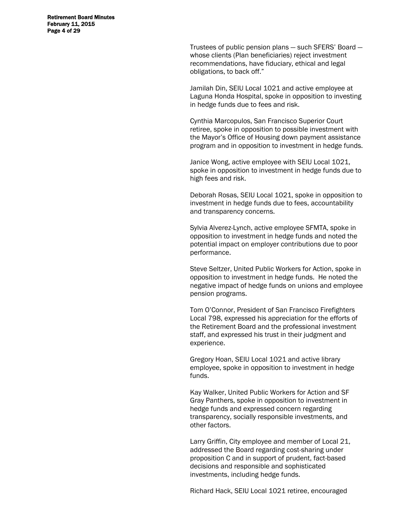Retirement Board Minutes February 11, 2015 Page 4 of 29

> Trustees of public pension plans — such SFERS' Board whose clients (Plan beneficiaries) reject investment recommendations, have fiduciary, ethical and legal obligations, to back off."

> Jamilah Din, SEIU Local 1021 and active employee at Laguna Honda Hospital, spoke in opposition to investing in hedge funds due to fees and risk.

> Cynthia Marcopulos, San Francisco Superior Court retiree, spoke in opposition to possible investment with the Mayor's Office of Housing down payment assistance program and in opposition to investment in hedge funds.

> Janice Wong, active employee with SEIU Local 1021, spoke in opposition to investment in hedge funds due to high fees and risk.

> Deborah Rosas, SEIU Local 1021, spoke in opposition to investment in hedge funds due to fees, accountability and transparency concerns.

Sylvia Alverez-Lynch, active employee SFMTA, spoke in opposition to investment in hedge funds and noted the potential impact on employer contributions due to poor performance.

Steve Seltzer, United Public Workers for Action, spoke in opposition to investment in hedge funds. He noted the negative impact of hedge funds on unions and employee pension programs.

Tom O'Connor, President of San Francisco Firefighters Local 798, expressed his appreciation for the efforts of the Retirement Board and the professional investment staff, and expressed his trust in their judgment and experience.

Gregory Hoan, SEIU Local 1021 and active library employee, spoke in opposition to investment in hedge funds.

Kay Walker, United Public Workers for Action and SF Gray Panthers, spoke in opposition to investment in hedge funds and expressed concern regarding transparency, socially responsible investments, and other factors.

Larry Griffin, City employee and member of Local 21, addressed the Board regarding cost-sharing under proposition C and in support of prudent, fact-based decisions and responsible and sophisticated investments, including hedge funds.

Richard Hack, SEIU Local 1021 retiree, encouraged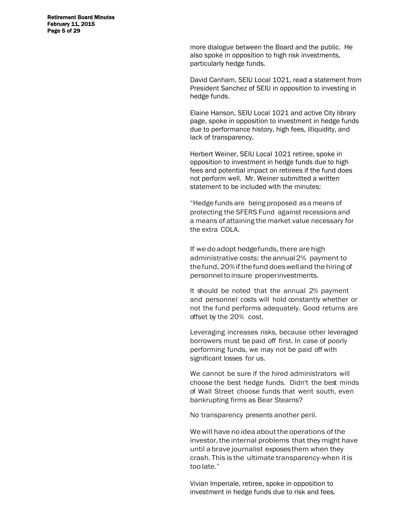Retirement Board Minutes February 11, 2015 Page 5 of 29

> more dialogue between the Board and the public. He also spoke in opposition to high risk investments, particularly hedge funds.

David Canham, SEIU Local 1021, read a statement from President Sanchez of SEIU in opposition to investing in hedge funds.

Elaine Hanson, SEIU Local 1021 and active City library page, spoke in opposition to investment in hedge funds due to performance history, high fees, illiquidity, and lack of transparency.

Herbert Weiner, SEIU Local 1021 retiree, spoke in opposition to investment in hedge funds due to high fees and potential impact on retirees if the fund does not perform well. Mr. Weiner submitted a written statement to be included with the minutes:

"Hedge funds are being proposed as a means of protecting the SFERS Fund against recessions and a means of attaining the market value necessary for the extra COLA.

If we do adopt hedge funds, there are high administrative costs: the annual 2% payment to the fund, 20% if the fund does well and the hiring of personnel to insure proper investments.

It should be noted that the annual 2% payment and personnel costs will hold constantly whether or not the fund performs adequately. Good returns are offset by the 20% cost.

Leveraging increases risks, because other leveraged borrowers must be paid off first. In case of poorly performing funds, we may not be paid off with significant losses for us.

We cannot be sure if the hired administrators will choose the best hedge funds. Didn't the best minds of Wall Street choose funds that went south, even bankrupting firms as Bear Stearns?

No transparency presents another peril.

We will have no idea about the operations of the investor, the internal problems that they might have until a brave journalist exposes them when they crash. This is the ultimate transparency-when it is too late."

Vivian Imperiale, retiree, spoke in opposition to investment in hedge funds due to risk and fees.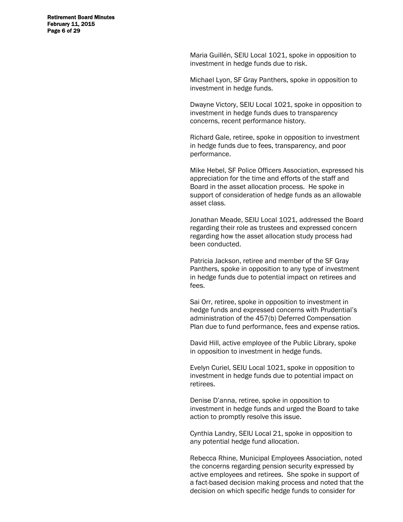Retirement Board Minutes February 11, 2015 Page 6 of 29

> Maria Guillén, SEIU Local 1021, spoke in opposition to investment in hedge funds due to risk.

Michael Lyon, SF Gray Panthers, spoke in opposition to investment in hedge funds.

Dwayne Victory, SEIU Local 1021, spoke in opposition to investment in hedge funds dues to transparency concerns, recent performance history.

Richard Gale, retiree, spoke in opposition to investment in hedge funds due to fees, transparency, and poor performance.

Mike Hebel, SF Police Officers Association, expressed his appreciation for the time and efforts of the staff and Board in the asset allocation process. He spoke in support of consideration of hedge funds as an allowable asset class.

Jonathan Meade, SEIU Local 1021, addressed the Board regarding their role as trustees and expressed concern regarding how the asset allocation study process had been conducted.

Patricia Jackson, retiree and member of the SF Gray Panthers, spoke in opposition to any type of investment in hedge funds due to potential impact on retirees and fees.

Sai Orr, retiree, spoke in opposition to investment in hedge funds and expressed concerns with Prudential's administration of the 457(b) Deferred Compensation Plan due to fund performance, fees and expense ratios.

David Hill, active employee of the Public Library, spoke in opposition to investment in hedge funds.

Evelyn Curiel, SEIU Local 1021, spoke in opposition to investment in hedge funds due to potential impact on retirees.

Denise D'anna, retiree, spoke in opposition to investment in hedge funds and urged the Board to take action to promptly resolve this issue.

Cynthia Landry, SEIU Local 21, spoke in opposition to any potential hedge fund allocation.

Rebecca Rhine, Municipal Employees Association, noted the concerns regarding pension security expressed by active employees and retirees. She spoke in support of a fact-based decision making process and noted that the decision on which specific hedge funds to consider for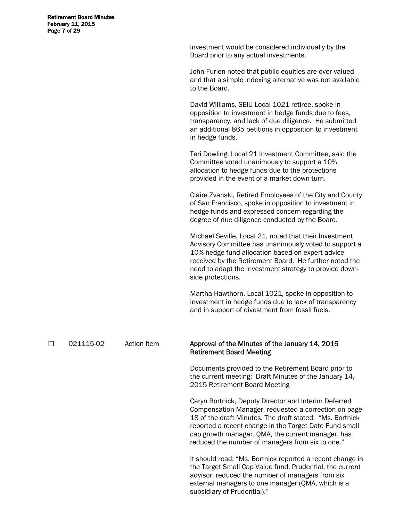Retirement Board Minutes February 11, 2015 Page 7 of 29

> investment would be considered individually by the Board prior to any actual investments.

John Furlen noted that public equities are over-valued and that a simple indexing alternative was not available to the Board.

David Williams, SEIU Local 1021 retiree, spoke in opposition to investment in hedge funds due to fees, transparency, and lack of due diligence. He submitted an additional 865 petitions in opposition to investment in hedge funds.

Teri Dowling, Local 21 Investment Committee, said the Committee voted unanimously to support a 10% allocation to hedge funds due to the protections provided in the event of a market down turn.

Claire Zvanski, Retired Employees of the City and County of San Francisco, spoke in opposition to investment in hedge funds and expressed concern regarding the degree of due diligence conducted by the Board.

Michael Seville, Local 21, noted that their Investment Advisory Committee has unanimously voted to support a 10% hedge fund allocation based on expert advice received by the Retirement Board. He further noted the need to adapt the investment strategy to provide downside protections.

Martha Hawthorn, Local 1021, spoke in opposition to investment in hedge funds due to lack of transparency and in support of divestment from fossil fuels.

□ 021115-02 Action Item Approval of the Minutes of the January 14, 2015 Retirement Board Meeting

> Documents provided to the Retirement Board prior to the current meeting: Draft Minutes of the January 14, 2015 Retirement Board Meeting

 Caryn Bortnick, Deputy Director and Interim Deferred Compensation Manager, requested a correction on page 18 of the draft Minutes. The draft stated: "Ms. Bortnick reported a recent change in the Target Date Fund small cap growth manager. QMA, the current manager, has reduced the number of managers from six to one."

It should read: "Ms. Bortnick reported a recent change in the Target Small Cap Value fund. Prudential, the current advisor, reduced the number of managers from six external managers to one manager (QMA, which is a subsidiary of Prudential)."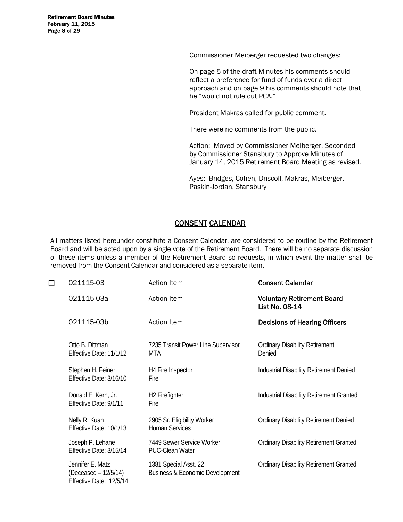Retirement Board Minutes February 11, 2015 Page 8 of 29

Commissioner Meiberger requested two changes:

On page 5 of the draft Minutes his comments should reflect a preference for fund of funds over a direct approach and on page 9 his comments should note that he "would not rule out PCA."

President Makras called for public comment.

There were no comments from the public.

Action: Moved by Commissioner Meiberger, Seconded by Commissioner Stansbury to Approve Minutes of January 14, 2015 Retirement Board Meeting as revised.

Ayes: Bridges, Cohen, Driscoll, Makras, Meiberger, Paskin-Jordan, Stansbury

#### CONSENT CALENDAR

All matters listed hereunder constitute a Consent Calendar, are considered to be routine by the Retirement Board and will be acted upon by a single vote of the Retirement Board. There will be no separate discussion of these items unless a member of the Retirement Board so requests, in which event the matter shall be removed from the Consent Calendar and considered as a separate item.

| $\Box$ | 021115-03                                                           | Action Item                                                         | <b>Consent Calendar</b>                             |
|--------|---------------------------------------------------------------------|---------------------------------------------------------------------|-----------------------------------------------------|
|        | 021115-03a                                                          | Action Item                                                         | <b>Voluntary Retirement Board</b><br>List No. 08-14 |
|        | 021115-03b                                                          | Action Item                                                         | <b>Decisions of Hearing Officers</b>                |
|        | Otto B. Dittman<br>Effective Date: 11/1/12                          | 7235 Transit Power Line Supervisor<br>MTA                           | <b>Ordinary Disability Retirement</b><br>Denied     |
|        | Stephen H. Feiner<br>Effective Date: 3/16/10                        | H4 Fire Inspector<br>Fire                                           | Industrial Disability Retirement Denied             |
|        | Donald E. Kern, Jr.<br>Effective Date: 9/1/11                       | H <sub>2</sub> Firefighter<br>Fire                                  | <b>Industrial Disability Retirement Granted</b>     |
|        | Nelly R. Kuan<br>Effective Date: 10/1/13                            | 2905 Sr. Eligibility Worker<br><b>Human Services</b>                | <b>Ordinary Disability Retirement Denied</b>        |
|        | Joseph P. Lehane<br>Effective Date: 3/15/14                         | 7449 Sewer Service Worker<br><b>PUC-Clean Water</b>                 | <b>Ordinary Disability Retirement Granted</b>       |
|        | Jennifer E. Matz<br>(Deceased – 12/5/14)<br>Effective Date: 12/5/14 | 1381 Special Asst. 22<br><b>Business &amp; Economic Development</b> | <b>Ordinary Disability Retirement Granted</b>       |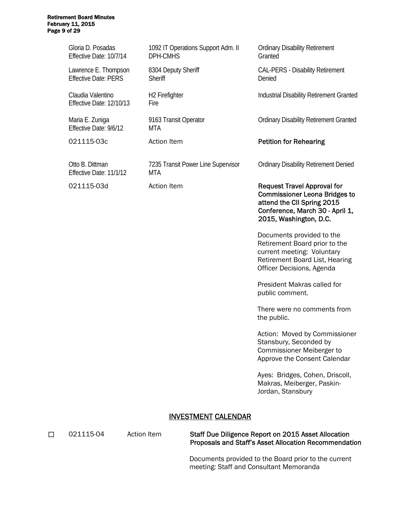## Retirement Board Minutes February 11, 2015 Page 9 of 29

Gloria D. Posadas Effective Date: 10/7/14

Lawrence E. Thompson Effective Date: PERS

Claudia Valentino Effective Date: 12/10/13

Maria E. Zuniga Effective Date: 9/6/12

Otto B. Dittman Effective Date: 11/1/12

1092 IT Operations Support Adm. II DPH-CMHS

8304 Deputy Sheriff **Sheriff** 

H2 Firefighter Fire

9163 Transit Operator **MTA** 

7235 Transit Power Line Supervisor MTA

Ordinary Disability Retirement **Granted** 

CAL-PERS - Disability Retirement Denied

Industrial Disability Retirement Granted

Ordinary Disability Retirement Granted

#### 021115-03c Action Item **Petition for Rehearing**

Ordinary Disability Retirement Denied

021115-03d Action Item Request Travel Approval for Commissioner Leona Bridges to attend the CII Spring 2015 Conference, March 30 - April 1, 2015, Washington, D.C.

> Documents provided to the Retirement Board prior to the current meeting: Voluntary Retirement Board List, Hearing Officer Decisions, Agenda

 President Makras called for public comment.

There were no comments from the public.

Action: Moved by Commissioner Stansbury, Seconded by Commissioner Meiberger to Approve the Consent Calendar

Ayes: Bridges, Cohen, Driscoll, Makras, Meiberger, Paskin-Jordan, Stansbury

#### INVESTMENT CALENDAR

□ 021115-04 Action Item Staff Due Diligence Report on 2015 Asset Allocation Proposals and Staff's Asset Allocation Recommendation

> Documents provided to the Board prior to the current meeting: Staff and Consultant Memoranda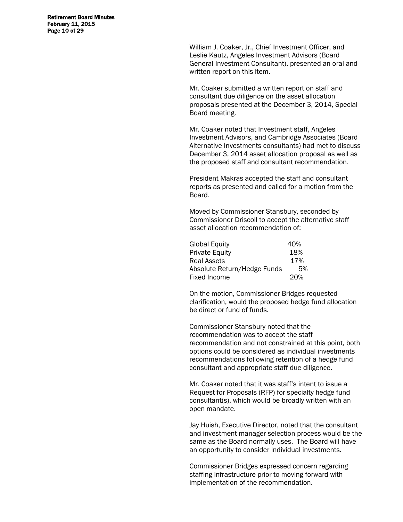Retirement Board Minutes February 11, 2015 Page 10 of 29

> William J. Coaker, Jr., Chief Investment Officer, and Leslie Kautz, Angeles Investment Advisors (Board General Investment Consultant), presented an oral and written report on this item.

> Mr. Coaker submitted a written report on staff and consultant due diligence on the asset allocation proposals presented at the December 3, 2014, Special Board meeting.

Mr. Coaker noted that Investment staff, Angeles Investment Advisors, and Cambridge Associates (Board Alternative Investments consultants) had met to discuss December 3, 2014 asset allocation proposal as well as the proposed staff and consultant recommendation.

President Makras accepted the staff and consultant reports as presented and called for a motion from the Board.

Moved by Commissioner Stansbury, seconded by Commissioner Driscoll to accept the alternative staff asset allocation recommendation of:

| 40% |
|-----|
| 18% |
| 17% |
| .5% |
| 20% |
|     |

On the motion, Commissioner Bridges requested clarification, would the proposed hedge fund allocation be direct or fund of funds.

Commissioner Stansbury noted that the recommendation was to accept the staff recommendation and not constrained at this point, both options could be considered as individual investments recommendations following retention of a hedge fund consultant and appropriate staff due diligence.

Mr. Coaker noted that it was staff's intent to issue a Request for Proposals (RFP) for specialty hedge fund consultant(s), which would be broadly written with an open mandate.

Jay Huish, Executive Director, noted that the consultant and investment manager selection process would be the same as the Board normally uses. The Board will have an opportunity to consider individual investments.

Commissioner Bridges expressed concern regarding staffing infrastructure prior to moving forward with implementation of the recommendation.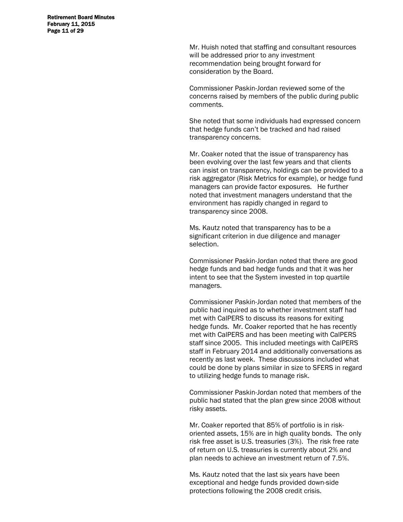Retirement Board Minutes February 11, 2015 Page 11 of 29

> Mr. Huish noted that staffing and consultant resources will be addressed prior to any investment recommendation being brought forward for consideration by the Board.

Commissioner Paskin-Jordan reviewed some of the concerns raised by members of the public during public comments.

She noted that some individuals had expressed concern that hedge funds can't be tracked and had raised transparency concerns.

Mr. Coaker noted that the issue of transparency has been evolving over the last few years and that clients can insist on transparency, holdings can be provided to a risk aggregator (Risk Metrics for example), or hedge fund managers can provide factor exposures. He further noted that investment managers understand that the environment has rapidly changed in regard to transparency since 2008.

Ms. Kautz noted that transparency has to be a significant criterion in due diligence and manager selection.

Commissioner Paskin-Jordan noted that there are good hedge funds and bad hedge funds and that it was her intent to see that the System invested in top quartile managers.

Commissioner Paskin-Jordan noted that members of the public had inquired as to whether investment staff had met with CalPERS to discuss its reasons for exiting hedge funds. Mr. Coaker reported that he has recently met with CalPERS and has been meeting with CalPERS staff since 2005. This included meetings with CalPERS staff in February 2014 and additionally conversations as recently as last week. These discussions included what could be done by plans similar in size to SFERS in regard to utilizing hedge funds to manage risk.

Commissioner Paskin-Jordan noted that members of the public had stated that the plan grew since 2008 without risky assets.

Mr. Coaker reported that 85% of portfolio is in riskoriented assets, 15% are in high quality bonds. The only risk free asset is U.S. treasuries (3%). The risk free rate of return on U.S. treasuries is currently about 2% and plan needs to achieve an investment return of 7.5%.

Ms. Kautz noted that the last six years have been exceptional and hedge funds provided down-side protections following the 2008 credit crisis.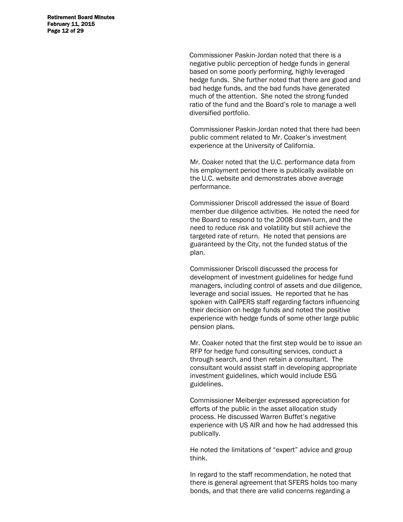Retirement Board Minutes February 11, 2015 Page 12 of 29

> Commissioner Paskin-Jordan noted that there is a negative public perception of hedge funds in general based on some poorly performing, highly leveraged hedge funds. She further noted that there are good and bad hedge funds, and the bad funds have generated much of the attention. She noted the strong funded ratio of the fund and the Board's role to manage a well diversified portfolio.

> Commissioner Paskin-Jordan noted that there had been public comment related to Mr. Coaker's investment experience at the University of California.

Mr. Coaker noted that the U.C. performance data from his employment period there is publically available on the U.C. website and demonstrates above average performance.

Commissioner Driscoll addressed the issue of Board member due diligence activities. He noted the need for the Board to respond to the 2008 down-turn, and the need to reduce risk and volatility but still achieve the targeted rate of return. He noted that pensions are guaranteed by the City, not the funded status of the plan.

Commissioner Driscoll discussed the process for development of investment guidelines for hedge fund managers, including control of assets and due diligence, leverage and social issues. He reported that he has spoken with CalPERS staff regarding factors influencing their decision on hedge funds and noted the positive experience with hedge funds of some other large public pension plans.

Mr. Coaker noted that the first step would be to issue an RFP for hedge fund consulting services, conduct a through search, and then retain a consultant. The consultant would assist staff in developing appropriate investment guidelines, which would include ESG guidelines.

Commissioner Meiberger expressed appreciation for efforts of the public in the asset allocation study process. He discussed Warren Buffet's negative experience with US AIR and how he had addressed this publically.

He noted the limitations of "expert" advice and group think.

In regard to the staff recommendation, he noted that there is general agreement that SFERS holds too many bonds, and that there are valid concerns regarding a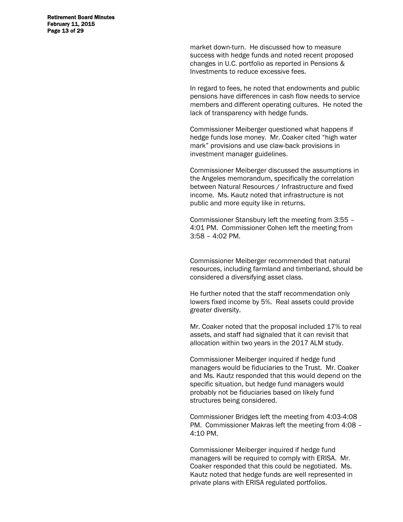Retirement Board Minutes February 11, 2015 Page 13 of 29

> market down-turn. He discussed how to measure success with hedge funds and noted recent proposed changes in U.C. portfolio as reported in Pensions & Investments to reduce excessive fees.

In regard to fees, he noted that endowments and public pensions have differences in cash flow needs to service members and different operating cultures. He noted the lack of transparency with hedge funds.

Commissioner Meiberger questioned what happens if hedge funds lose money. Mr. Coaker cited "high water mark" provisions and use claw-back provisions in investment manager guidelines.

Commissioner Meiberger discussed the assumptions in the Angeles memorandum, specifically the correlation between Natural Resources / Infrastructure and fixed income. Ms. Kautz noted that infrastructure is not public and more equity like in returns.

Commissioner Stansbury left the meeting from 3:55 – 4:01 PM. Commissioner Cohen left the meeting from 3:58 – 4:02 PM.

Commissioner Meiberger recommended that natural resources, including farmland and timberland, should be considered a diversifying asset class.

He further noted that the staff recommendation only lowers fixed income by 5%. Real assets could provide greater diversity.

Mr. Coaker noted that the proposal included 17% to real assets, and staff had signaled that it can revisit that allocation within two years in the 2017 ALM study.

Commissioner Meiberger inquired if hedge fund managers would be fiduciaries to the Trust. Mr. Coaker and Ms. Kautz responded that this would depend on the specific situation, but hedge fund managers would probably not be fiduciaries based on likely fund structures being considered.

Commissioner Bridges left the meeting from 4:03-4:08 PM. Commissioner Makras left the meeting from 4:08 – 4:10 PM.

Commissioner Meiberger inquired if hedge fund managers will be required to comply with ERISA. Mr. Coaker responded that this could be negotiated. Ms. Kautz noted that hedge funds are well represented in private plans with ERISA regulated portfolios.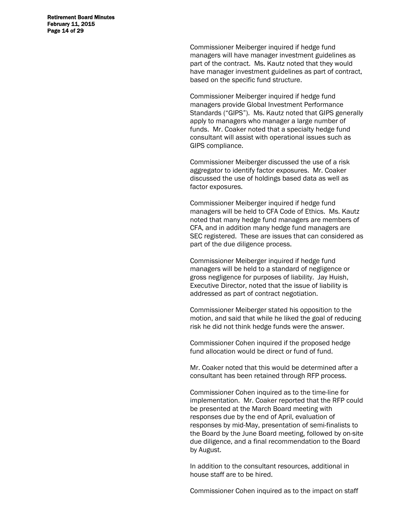Retirement Board Minutes February 11, 2015 Page 14 of 29

> Commissioner Meiberger inquired if hedge fund managers will have manager investment guidelines as part of the contract. Ms. Kautz noted that they would have manager investment guidelines as part of contract, based on the specific fund structure.

> Commissioner Meiberger inquired if hedge fund managers provide Global Investment Performance Standards ("GIPS"). Ms. Kautz noted that GIPS generally apply to managers who manager a large number of funds. Mr. Coaker noted that a specialty hedge fund consultant will assist with operational issues such as GIPS compliance.

Commissioner Meiberger discussed the use of a risk aggregator to identify factor exposures. Mr. Coaker discussed the use of holdings based data as well as factor exposures.

Commissioner Meiberger inquired if hedge fund managers will be held to CFA Code of Ethics. Ms. Kautz noted that many hedge fund managers are members of CFA, and in addition many hedge fund managers are SEC registered. These are issues that can considered as part of the due diligence process.

Commissioner Meiberger inquired if hedge fund managers will be held to a standard of negligence or gross negligence for purposes of liability. Jay Huish, Executive Director, noted that the issue of liability is addressed as part of contract negotiation.

Commissioner Meiberger stated his opposition to the motion, and said that while he liked the goal of reducing risk he did not think hedge funds were the answer.

Commissioner Cohen inquired if the proposed hedge fund allocation would be direct or fund of fund.

Mr. Coaker noted that this would be determined after a consultant has been retained through RFP process.

Commissioner Cohen inquired as to the time-line for implementation. Mr. Coaker reported that the RFP could be presented at the March Board meeting with responses due by the end of April, evaluation of responses by mid-May, presentation of semi-finalists to the Board by the June Board meeting, followed by on-site due diligence, and a final recommendation to the Board by August.

In addition to the consultant resources, additional in house staff are to be hired.

Commissioner Cohen inquired as to the impact on staff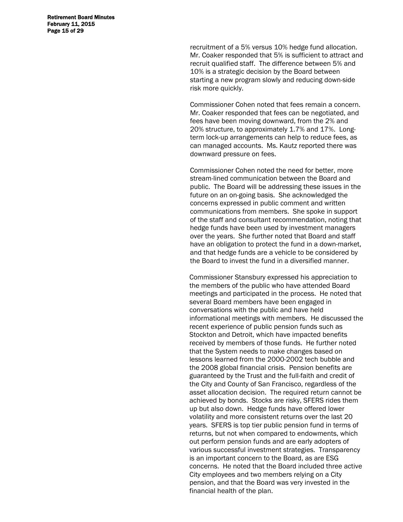Retirement Board Minutes February 11, 2015 Page 15 of 29

> recruitment of a 5% versus 10% hedge fund allocation. Mr. Coaker responded that 5% is sufficient to attract and recruit qualified staff. The difference between 5% and 10% is a strategic decision by the Board between starting a new program slowly and reducing down-side risk more quickly.

Commissioner Cohen noted that fees remain a concern. Mr. Coaker responded that fees can be negotiated, and fees have been moving downward, from the 2% and 20% structure, to approximately 1.7% and 17%. Longterm lock-up arrangements can help to reduce fees, as can managed accounts. Ms. Kautz reported there was downward pressure on fees.

Commissioner Cohen noted the need for better, more stream-lined communication between the Board and public. The Board will be addressing these issues in the future on an on-going basis. She acknowledged the concerns expressed in public comment and written communications from members. She spoke in support of the staff and consultant recommendation, noting that hedge funds have been used by investment managers over the years. She further noted that Board and staff have an obligation to protect the fund in a down-market, and that hedge funds are a vehicle to be considered by the Board to invest the fund in a diversified manner.

Commissioner Stansbury expressed his appreciation to the members of the public who have attended Board meetings and participated in the process. He noted that several Board members have been engaged in conversations with the public and have held informational meetings with members. He discussed the recent experience of public pension funds such as Stockton and Detroit, which have impacted benefits received by members of those funds. He further noted that the System needs to make changes based on lessons learned from the 2000-2002 tech bubble and the 2008 global financial crisis. Pension benefits are guaranteed by the Trust and the full-faith and credit of the City and County of San Francisco, regardless of the asset allocation decision. The required return cannot be achieved by bonds. Stocks are risky, SFERS rides them up but also down. Hedge funds have offered lower volatility and more consistent returns over the last 20 years. SFERS is top tier public pension fund in terms of returns, but not when compared to endowments, which out perform pension funds and are early adopters of various successful investment strategies. Transparency is an important concern to the Board, as are ESG concerns. He noted that the Board included three active City employees and two members relying on a City pension, and that the Board was very invested in the financial health of the plan.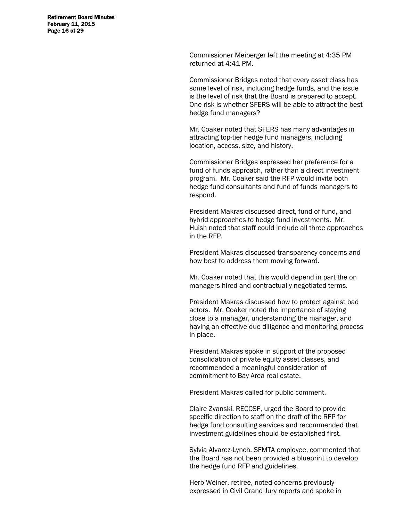Retirement Board Minutes February 11, 2015 Page 16 of 29

> Commissioner Meiberger left the meeting at 4:35 PM returned at 4:41 PM.

Commissioner Bridges noted that every asset class has some level of risk, including hedge funds, and the issue is the level of risk that the Board is prepared to accept. One risk is whether SFERS will be able to attract the best hedge fund managers?

Mr. Coaker noted that SFERS has many advantages in attracting top-tier hedge fund managers, including location, access, size, and history.

Commissioner Bridges expressed her preference for a fund of funds approach, rather than a direct investment program. Mr. Coaker said the RFP would invite both hedge fund consultants and fund of funds managers to respond.

President Makras discussed direct, fund of fund, and hybrid approaches to hedge fund investments. Mr. Huish noted that staff could include all three approaches in the RFP.

President Makras discussed transparency concerns and how best to address them moving forward.

Mr. Coaker noted that this would depend in part the on managers hired and contractually negotiated terms.

President Makras discussed how to protect against bad actors. Mr. Coaker noted the importance of staying close to a manager, understanding the manager, and having an effective due diligence and monitoring process in place.

President Makras spoke in support of the proposed consolidation of private equity asset classes, and recommended a meaningful consideration of commitment to Bay Area real estate.

President Makras called for public comment.

Claire Zvanski, RECCSF, urged the Board to provide specific direction to staff on the draft of the RFP for hedge fund consulting services and recommended that investment guidelines should be established first.

Sylvia Alvarez-Lynch, SFMTA employee, commented that the Board has not been provided a blueprint to develop the hedge fund RFP and guidelines.

Herb Weiner, retiree, noted concerns previously expressed in Civil Grand Jury reports and spoke in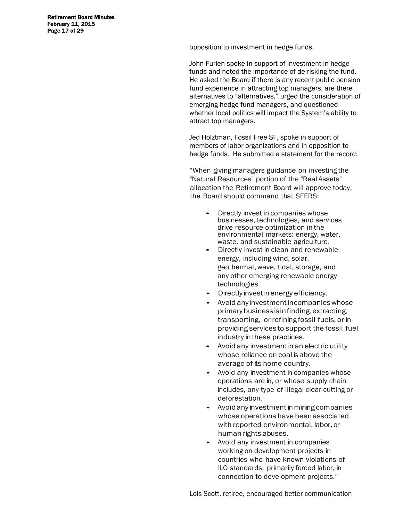Retirement Board Minutes February 11, 2015 Page 17 of 29

opposition to investment in hedge funds.

John Furlen spoke in support of investment in hedge funds and noted the importance of de-risking the fund. He asked the Board if there is any recent public pension fund experience in attracting top managers, are there alternatives to "alternatives," urged the consideration of emerging hedge fund managers, and questioned whether local politics will impact the System's ability to attract top managers.

Jed Holztman, Fossil Free SF, spoke in support of members of labor organizations and in opposition to hedge funds. He submitted a statement for the record:

"When giving managers guidance on investing the "Natural Resources" portion of the "Real Assets" allocation the Retirement Board will approve today, the Board should command that SFERS:

- Directly invest in companies whose businesses, technologies, and services drive resource optimization in the environmental markets: energy, water, waste, and sustainable agriculture.
- Directly invest in clean and renewable energy, including wind, solar, geothermal, wave, tidal, storage, and any other emerging renewable energy technologies .
- Directly invest in energy efficiency.
- Avoid any investment in companies whose primary business is in finding, extracting, transporting, or refining fossil fuels, or in providing services to support the fossil fuel industry in these practices.
- Avoid any investment in an electric utility whose reliance on coal is above the average of its home country.
- Avoid any investment in companies whose operations are in, or whose supply chain includes, any type of illegal clear-cutting or deforestation.
- Avoid any investment in mining companies whose operations have been associated with reported environmental, labor, or human rights abuses.
- Avoid any investment in companies working on development projects in countries who have known violations of ILO standards, primarily forced labor, in connection to development projects."

Lois Scott, retiree, encouraged better communication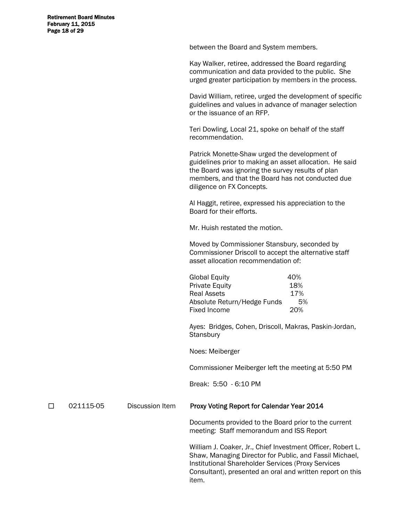Retirement Board Minutes February 11, 2015 Page 18 of 29

between the Board and System members.

Kay Walker, retiree, addressed the Board regarding communication and data provided to the public. She urged greater participation by members in the process.

David William, retiree, urged the development of specific guidelines and values in advance of manager selection or the issuance of an RFP.

Teri Dowling, Local 21, spoke on behalf of the staff recommendation.

Patrick Monette-Shaw urged the development of guidelines prior to making an asset allocation. He said the Board was ignoring the survey results of plan members, and that the Board has not conducted due diligence on FX Concepts.

Al Haggit, retiree, expressed his appreciation to the Board for their efforts.

Mr. Huish restated the motion.

Moved by Commissioner Stansbury, seconded by Commissioner Driscoll to accept the alternative staff asset allocation recommendation of:

| <b>Global Equity</b>        | 40% |
|-----------------------------|-----|
| <b>Private Equity</b>       | 18% |
| Real Assets                 | 17% |
| Absolute Return/Hedge Funds | .5% |
| Fixed Income                | 20% |
|                             |     |

Ayes: Bridges, Cohen, Driscoll, Makras, Paskin-Jordan, **Stansbury** 

Noes: Meiberger

Commissioner Meiberger left the meeting at 5:50 PM

Break: 5:50 - 6:10 PM

#### □ 021115-05 Discussion Item Proxy Voting Report for Calendar Year 2014

 Documents provided to the Board prior to the current meeting: Staff memorandum and ISS Report

William J. Coaker, Jr., Chief Investment Officer, Robert L. Shaw, Managing Director for Public, and Fassil Michael, Institutional Shareholder Services (Proxy Services Consultant), presented an oral and written report on this item.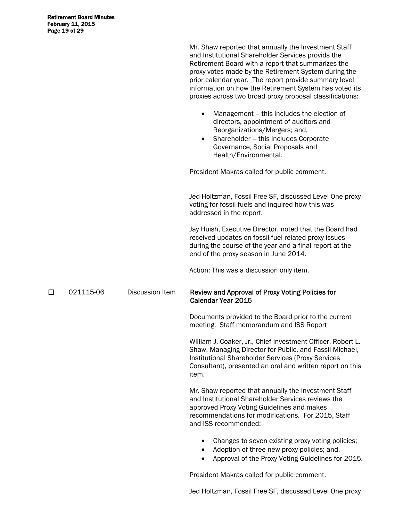|   |           |                        | Mr. Shaw reported that annually the Investment Staff<br>and Institutional Shareholder Services provids the<br>Retirement Board with a report that summarizes the<br>proxy votes made by the Retirement System during the<br>prior calendar year. The report provide summary level<br>information on how the Retirement System has voted its<br>proxies across two broad proxy proposal classifications:<br>Management - this includes the election of<br>$\bullet$<br>directors, appointment of auditors and<br>Reorganizations/Mergers; and,<br>Shareholder - this includes Corporate<br>$\bullet$<br>Governance, Social Proposals and<br>Health/Environmental. |
|---|-----------|------------------------|------------------------------------------------------------------------------------------------------------------------------------------------------------------------------------------------------------------------------------------------------------------------------------------------------------------------------------------------------------------------------------------------------------------------------------------------------------------------------------------------------------------------------------------------------------------------------------------------------------------------------------------------------------------|
|   |           |                        | President Makras called for public comment.                                                                                                                                                                                                                                                                                                                                                                                                                                                                                                                                                                                                                      |
|   |           |                        | Jed Holtzman, Fossil Free SF, discussed Level One proxy<br>voting for fossil fuels and inquired how this was<br>addressed in the report.                                                                                                                                                                                                                                                                                                                                                                                                                                                                                                                         |
|   |           |                        | Jay Huish, Executive Director, noted that the Board had<br>received updates on fossil fuel related proxy issues<br>during the course of the year and a final report at the<br>end of the proxy season in June 2014.                                                                                                                                                                                                                                                                                                                                                                                                                                              |
|   |           |                        | Action: This was a discussion only item.                                                                                                                                                                                                                                                                                                                                                                                                                                                                                                                                                                                                                         |
| □ | 021115-06 | <b>Discussion Item</b> | Review and Approval of Proxy Voting Policies for<br>Calendar Year 2015                                                                                                                                                                                                                                                                                                                                                                                                                                                                                                                                                                                           |
|   |           |                        | Documents provided to the Board prior to the current<br>meeting: Staff memorandum and ISS Report                                                                                                                                                                                                                                                                                                                                                                                                                                                                                                                                                                 |
|   |           |                        | William J. Coaker, Jr., Chief Investment Officer, Robert L.<br>Shaw, Managing Director for Public, and Fassil Michael,<br>Institutional Shareholder Services (Proxy Services<br>Consultant), presented an oral and written report on this<br>item.                                                                                                                                                                                                                                                                                                                                                                                                               |
|   |           |                        | Mr. Shaw reported that annually the Investment Staff<br>and Institutional Shareholder Services reviews the<br>approved Proxy Voting Guidelines and makes<br>recommendations for modifications. For 2015, Staff<br>and ISS recommended:                                                                                                                                                                                                                                                                                                                                                                                                                           |
|   |           |                        | Changes to seven existing proxy voting policies;<br>Adoption of three new proxy policies; and,<br>Approval of the Proxy Voting Guidelines for 2015.                                                                                                                                                                                                                                                                                                                                                                                                                                                                                                              |

President Makras called for public comment.

Jed Holtzman, Fossil Free SF, discussed Level One proxy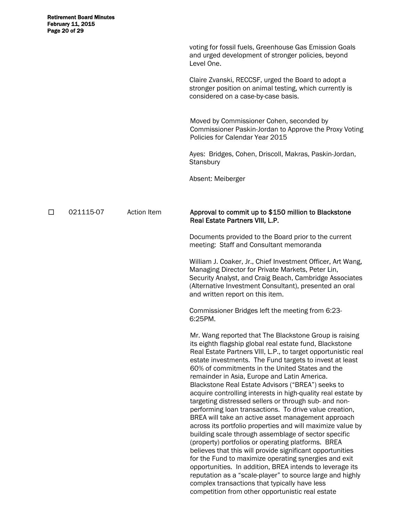| voting for fossil fuels, Greenhouse Gas Emission Goals |
|--------------------------------------------------------|
| and urged development of stronger policies, beyond     |
| Level One.                                             |

Claire Zvanski, RECCSF, urged the Board to adopt a stronger position on animal testing, which currently is considered on a case-by-case basis.

 Moved by Commissioner Cohen, seconded by Commissioner Paskin-Jordan to Approve the Proxy Voting Policies for Calendar Year 2015

Ayes: Bridges, Cohen, Driscoll, Makras, Paskin-Jordan, **Stansbury** 

Absent: Meiberger

#### □ 021115-07 Action Item Approval to commit up to \$150 million to Blackstone Real Estate Partners VIII, L.P.

 Documents provided to the Board prior to the current meeting: Staff and Consultant memoranda

William J. Coaker, Jr., Chief Investment Officer, Art Wang, Managing Director for Private Markets, Peter Lin, Security Analyst, and Craig Beach, Cambridge Associates (Alternative Investment Consultant), presented an oral and written report on this item.

Commissioner Bridges left the meeting from 6:23- 6:25PM.

Mr. Wang reported that The Blackstone Group is raising its eighth flagship global real estate fund, Blackstone Real Estate Partners VIII, L.P., to target opportunistic real estate investments. The Fund targets to invest at least 60% of commitments in the United States and the remainder in Asia, Europe and Latin America. Blackstone Real Estate Advisors ("BREA") seeks to acquire controlling interests in high-quality real estate by targeting distressed sellers or through sub- and nonperforming loan transactions. To drive value creation, BREA will take an active asset management approach across its portfolio properties and will maximize value by building scale through assemblage of sector specific (property) portfolios or operating platforms. BREA believes that this will provide significant opportunities for the Fund to maximize operating synergies and exit opportunities. In addition, BREA intends to leverage its reputation as a "scale-player" to source large and highly complex transactions that typically have less competition from other opportunistic real estate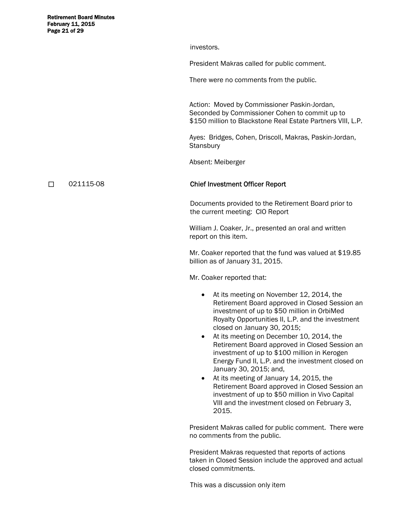Retirement Board Minutes February 11, 2015 Page 21 of 29

investors.

President Makras called for public comment.

There were no comments from the public.

 Action: Moved by Commissioner Paskin-Jordan, Seconded by Commissioner Cohen to commit up to \$150 million to Blackstone Real Estate Partners VIII, L.P.

Ayes: Bridges, Cohen, Driscoll, Makras, Paskin-Jordan, **Stansbury** 

Absent: Meiberger

#### 021115-08 Chief Investment Officer Report

 Documents provided to the Retirement Board prior to the current meeting: CIO Report

William J. Coaker, Jr., presented an oral and written report on this item.

Mr. Coaker reported that the fund was valued at \$19.85 billion as of January 31, 2015.

Mr. Coaker reported that:

- At its meeting on November 12, 2014, the Retirement Board approved in Closed Session an investment of up to \$50 million in OrbiMed Royalty Opportunities II, L.P. and the investment closed on January 30, 2015;
- At its meeting on December 10, 2014, the Retirement Board approved in Closed Session an investment of up to \$100 million in Kerogen Energy Fund II, L.P. and the investment closed on January 30, 2015; and,
- At its meeting of January 14, 2015, the Retirement Board approved in Closed Session an investment of up to \$50 million in Vivo Capital VIII and the investment closed on February 3, 2015.

President Makras called for public comment. There were no comments from the public.

President Makras requested that reports of actions taken in Closed Session include the approved and actual closed commitments.

This was a discussion only item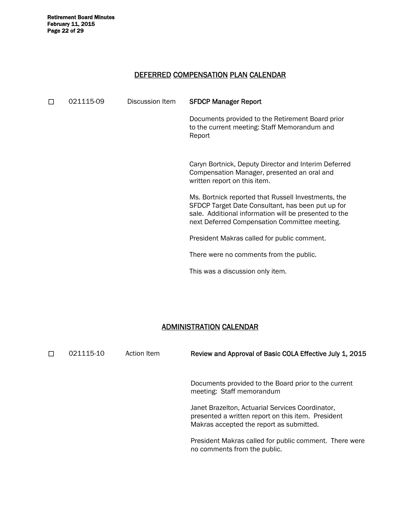Retirement Board Minutes<br>February 11, 2015 Page 22 of 29

#### DEFERRED COMPENSATION PLAN CALENDAR

| П | 021115-09 | Discussion Item | <b>SFDCP Manager Report</b>                                                                                                                                                                                        |
|---|-----------|-----------------|--------------------------------------------------------------------------------------------------------------------------------------------------------------------------------------------------------------------|
|   |           |                 | Documents provided to the Retirement Board prior<br>to the current meeting: Staff Memorandum and<br>Report                                                                                                         |
|   |           |                 | Caryn Bortnick, Deputy Director and Interim Deferred<br>Compensation Manager, presented an oral and<br>written report on this item.                                                                                |
|   |           |                 | Ms. Bortnick reported that Russell Investments, the<br>SFDCP Target Date Consultant, has been put up for<br>sale. Additional information will be presented to the<br>next Deferred Compensation Committee meeting. |
|   |           |                 | President Makras called for public comment.                                                                                                                                                                        |
|   |           |                 | There were no comments from the public.                                                                                                                                                                            |
|   |           |                 | This was a discussion only item.                                                                                                                                                                                   |

## ADMINISTRATION CALENDAR

| П | 021115-10 | Action Item | Review and Approval of Basic COLA Effective July 1, 2015                                                                                           |
|---|-----------|-------------|----------------------------------------------------------------------------------------------------------------------------------------------------|
|   |           |             | Documents provided to the Board prior to the current<br>meeting: Staff memorandum                                                                  |
|   |           |             | Janet Brazelton, Actuarial Services Coordinator,<br>presented a written report on this item. President<br>Makras accepted the report as submitted. |
|   |           |             | President Makras called for public comment. There were<br>no comments from the public.                                                             |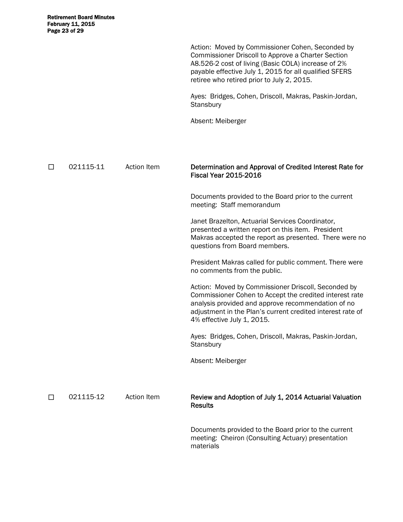Action: Moved by Commissioner Cohen, Seconded by Commissioner Driscoll to Approve a Charter Section A8.526-2 cost of living (Basic COLA) increase of 2% payable effective July 1, 2015 for all qualified SFERS retiree who retired prior to July 2, 2015.

Ayes: Bridges, Cohen, Driscoll, Makras, Paskin-Jordan, **Stansbury** 

Absent: Meiberger

□ 021115-11 Action Item **Determination and Approval of Credited Interest Rate for** Fiscal Year 2015-2016

 Documents provided to the Board prior to the current meeting: Staff memorandum

 Janet Brazelton, Actuarial Services Coordinator, presented a written report on this item. President Makras accepted the report as presented. There were no questions from Board members.

President Makras called for public comment. There were no comments from the public.

Action: Moved by Commissioner Driscoll, Seconded by Commissioner Cohen to Accept the credited interest rate analysis provided and approve recommendation of no adjustment in the Plan's current credited interest rate of 4% effective July 1, 2015.

Ayes: Bridges, Cohen, Driscoll, Makras, Paskin-Jordan, **Stansbury** 

Absent: Meiberger

□ 021115-12 Action Item Review and Adoption of July 1, 2014 Actuarial Valuation **Results** 

> Documents provided to the Board prior to the current meeting: Cheiron (Consulting Actuary) presentation materials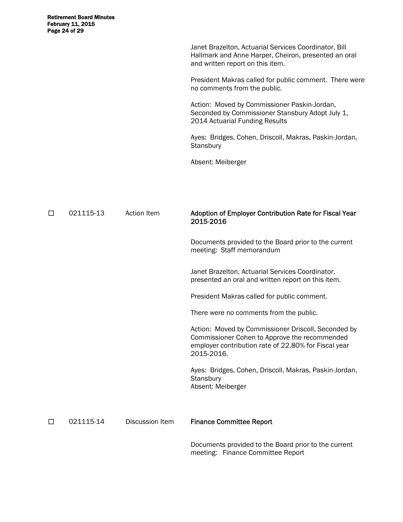Janet Brazelton, Actuarial Services Coordinator, Bill Hallmark and Anne Harper, Cheiron, presented an oral and written report on this item.

President Makras called for public comment. There were no comments from the public.

Action: Moved by Commissioner Paskin-Jordan, Seconded by Commissioner Stansbury Adopt July 1, 2014 Actuarial Funding Results

Ayes: Bridges, Cohen, Driscoll, Makras, Paskin-Jordan, **Stansbury** 

Absent: Meiberger

| П | 021115-13 | <b>Action Item</b> | Adoption of Employer Contribution Rate for Fiscal Year<br>2015-2016                                                                                                        |
|---|-----------|--------------------|----------------------------------------------------------------------------------------------------------------------------------------------------------------------------|
|   |           |                    | Documents provided to the Board prior to the current<br>meeting: Staff memorandum                                                                                          |
|   |           |                    | Janet Brazelton, Actuarial Services Coordinator,<br>presented an oral and written report on this item.                                                                     |
|   |           |                    | President Makras called for public comment.                                                                                                                                |
|   |           |                    | There were no comments from the public.                                                                                                                                    |
|   |           |                    | Action: Moved by Commissioner Driscoll, Seconded by<br>Commissioner Cohen to Approve the recommended<br>employer contribution rate of 22.80% for Fiscal year<br>2015-2016. |
|   |           |                    | Ayes: Bridges, Cohen, Driscoll, Makras, Paskin-Jordan,<br>Stansbury<br>Absent: Meiberger                                                                                   |
| П | 021115-14 | Discussion Item    | <b>Finance Committee Report</b>                                                                                                                                            |
|   |           |                    | Documents provided to the Board prior to the current                                                                                                                       |

 Documents provided to the Board prior to the current meeting: Finance Committee Report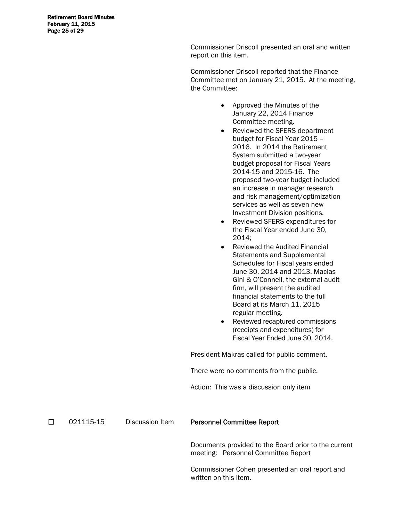Retirement Board Minutes February 11, 2015 Page 25 of 29

> Commissioner Driscoll presented an oral and written report on this item.

Commissioner Driscoll reported that the Finance Committee met on January 21, 2015. At the meeting, the Committee:

- Approved the Minutes of the January 22, 2014 Finance Committee meeting.
- Reviewed the SFERS department budget for Fiscal Year 2015 – 2016. In 2014 the Retirement System submitted a two-year budget proposal for Fiscal Years 2014-15 and 2015-16. The proposed two-year budget included an increase in manager research and risk management/optimization services as well as seven new Investment Division positions.
- Reviewed SFERS expenditures for the Fiscal Year ended June 30, 2014;
- Reviewed the Audited Financial Statements and Supplemental Schedules for Fiscal years ended June 30, 2014 and 2013. Macias Gini & O'Connell, the external audit firm, will present the audited financial statements to the full Board at its March 11, 2015 regular meeting.
- Reviewed recaptured commissions (receipts and expenditures) for Fiscal Year Ended June 30, 2014.

President Makras called for public comment.

There were no comments from the public.

Action: This was a discussion only item

□ 021115-15 Discussion Item Personnel Committee Report

 Documents provided to the Board prior to the current meeting: Personnel Committee Report

Commissioner Cohen presented an oral report and written on this item.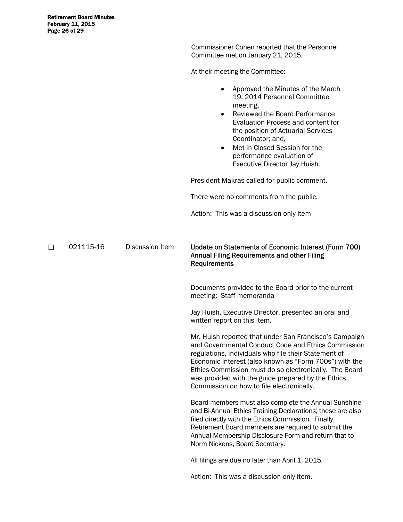Commissioner Cohen reported that the Personnel Committee met on January 21, 2015.

At their meeting the Committee:

|   |           |                        | Approved the Minutes of the March<br>19, 2014 Personnel Committee<br>meeting.<br><b>Reviewed the Board Performance</b><br>$\bullet$<br>Evaluation Process and content for<br>the position of Actuarial Services<br>Coordinator; and,<br>Met in Closed Session for the<br>$\bullet$<br>performance evaluation of<br>Executive Director Jay Huish.                                             |
|---|-----------|------------------------|----------------------------------------------------------------------------------------------------------------------------------------------------------------------------------------------------------------------------------------------------------------------------------------------------------------------------------------------------------------------------------------------|
|   |           |                        | President Makras called for public comment.                                                                                                                                                                                                                                                                                                                                                  |
|   |           |                        | There were no comments from the public.                                                                                                                                                                                                                                                                                                                                                      |
|   |           |                        | Action: This was a discussion only item                                                                                                                                                                                                                                                                                                                                                      |
| □ | 021115-16 | <b>Discussion Item</b> | Update on Statements of Economic Interest (Form 700)<br><b>Annual Filing Requirements and other Filing</b><br>Requirements                                                                                                                                                                                                                                                                   |
|   |           |                        | Documents provided to the Board prior to the current<br>meeting: Staff memoranda                                                                                                                                                                                                                                                                                                             |
|   |           |                        | Jay Huish, Executive Director, presented an oral and<br>written report on this item.                                                                                                                                                                                                                                                                                                         |
|   |           |                        | Mr. Huish reported that under San Francisco's Campaign<br>and Governmental Conduct Code and Ethics Commission<br>regulations, individuals who file their Statement of<br>Economic Interest (also known as "Form 700s") with the<br>Ethics Commission must do so electronically. The Board<br>was provided with the guide prepared by the Ethics<br>Commission on how to file electronically. |
|   |           |                        | Board members must also complete the Annual Sunshine<br>and Bi-Annual Ethics Training Declarations; these are also<br>filed directly with the Ethics Commission. Finally,<br>Retirement Board members are required to submit the<br>Annual Membership Disclosure Form and return that to<br>Norm Nickens, Board Secretary.                                                                   |
|   |           |                        | All filings are due no later than April 1, 2015.                                                                                                                                                                                                                                                                                                                                             |
|   |           |                        | Action: This was a discussion only item.                                                                                                                                                                                                                                                                                                                                                     |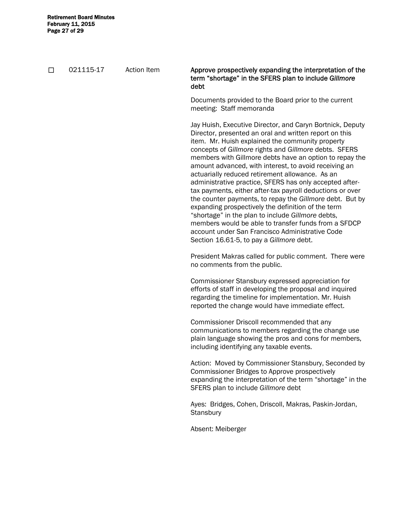□ 021115-17 Action Item Approve prospectively expanding the interpretation of the term "shortage" in the SFERS plan to include *Gillmore*  debt Documents provided to the Board prior to the current meeting: Staff memoranda Jay Huish, Executive Director, and Caryn Bortnick, Deputy Director, presented an oral and written report on this item. Mr. Huish explained the community property concepts of *Gillmore* rights and *Gillmore* debts. SFERS members with Gillmore debts have an option to repay the amount advanced, with interest, to avoid receiving an actuarially reduced retirement allowance. As an administrative practice, SFERS has only accepted aftertax payments, either after-tax payroll deductions or over the counter payments, to repay the *Gillmore* debt. But by expanding prospectively the definition of the term "shortage" in the plan to include *Gillmore* debts, members would be able to transfer funds from a SFDCP account under San Francisco Administrative Code Section 16.61-5, to pay a *Gillmore* debt. President Makras called for public comment. There were no comments from the public. Commissioner Stansbury expressed appreciation for efforts of staff in developing the proposal and inquired regarding the timeline for implementation. Mr. Huish reported the change would have immediate effect. Commissioner Driscoll recommended that any communications to members regarding the change use plain language showing the pros and cons for members, including identifying any taxable events. Action: Moved by Commissioner Stansbury, Seconded by Commissioner Bridges to Approve prospectively expanding the interpretation of the term "shortage" in the SFERS plan to include *Gillmore* debt Ayes: Bridges, Cohen, Driscoll, Makras, Paskin-Jordan, **Stansbury** Absent: Meiberger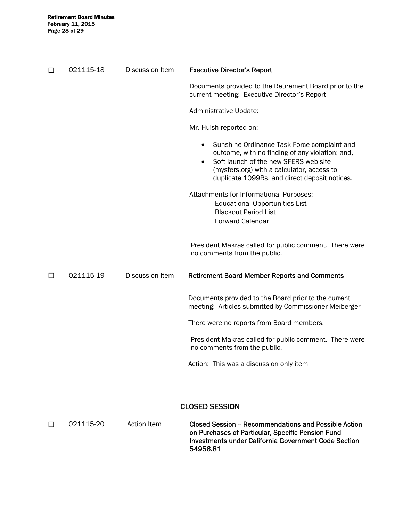| □ | 021115-18 | <b>Discussion Item</b> | <b>Executive Director's Report</b>                                                                                                                                                                                                                                                                                                                                                                |
|---|-----------|------------------------|---------------------------------------------------------------------------------------------------------------------------------------------------------------------------------------------------------------------------------------------------------------------------------------------------------------------------------------------------------------------------------------------------|
|   |           |                        | Documents provided to the Retirement Board prior to the<br>current meeting: Executive Director's Report                                                                                                                                                                                                                                                                                           |
|   |           |                        | Administrative Update:                                                                                                                                                                                                                                                                                                                                                                            |
|   |           |                        | Mr. Huish reported on:                                                                                                                                                                                                                                                                                                                                                                            |
|   |           |                        | Sunshine Ordinance Task Force complaint and<br>outcome, with no finding of any violation; and,<br>Soft launch of the new SFERS web site<br>$\bullet$<br>(mysfers.org) with a calculator, access to<br>duplicate 1099Rs, and direct deposit notices.<br>Attachments for Informational Purposes:<br><b>Educational Opportunities List</b><br><b>Blackout Period List</b><br><b>Forward Calendar</b> |
|   |           |                        | President Makras called for public comment. There were<br>no comments from the public.                                                                                                                                                                                                                                                                                                            |
| □ | 021115-19 | Discussion Item        | <b>Retirement Board Member Reports and Comments</b>                                                                                                                                                                                                                                                                                                                                               |
|   |           |                        | Documents provided to the Board prior to the current<br>meeting: Articles submitted by Commissioner Meiberger                                                                                                                                                                                                                                                                                     |
|   |           |                        | There were no reports from Board members.                                                                                                                                                                                                                                                                                                                                                         |
|   |           |                        | President Makras called for public comment. There were<br>no comments from the public.                                                                                                                                                                                                                                                                                                            |
|   |           |                        | Action: This was a discussion only item                                                                                                                                                                                                                                                                                                                                                           |
|   |           |                        |                                                                                                                                                                                                                                                                                                                                                                                                   |
|   |           |                        |                                                                                                                                                                                                                                                                                                                                                                                                   |

## CLOSED SESSION

| 021115-20 | Action Item | Closed Session – Recommendations and Possible Action<br>on Purchases of Particular, Specific Pension Fund<br>Investments under California Government Code Section |
|-----------|-------------|-------------------------------------------------------------------------------------------------------------------------------------------------------------------|
|           |             | 54956.81                                                                                                                                                          |